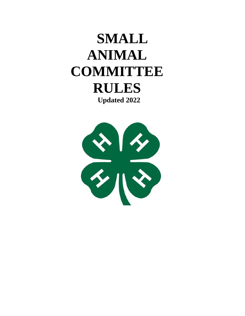# **SMALL ANIMAL COMMITTEE RULES Updated 2022**

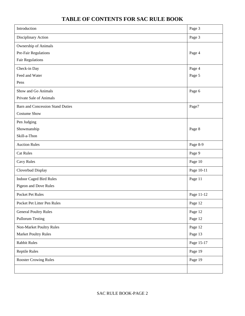# **TABLE OF CONTENTS FOR SAC RULE BOOK**

| Introduction                            | Page 3     |
|-----------------------------------------|------------|
| Disciplinary Action                     | Page 3     |
| Ownership of Animals                    |            |
| Pre-Fair Regulations                    | Page 4     |
| <b>Fair Regulations</b>                 |            |
| Check-in Day                            | Page 4     |
| Feed and Water                          | Page 5     |
| Pens                                    |            |
| Show and Go Animals                     | Page 6     |
| Private Sale of Animals                 |            |
| <b>Barn and Concession Stand Duties</b> | Page7      |
| <b>Costume Show</b>                     |            |
| Pen Judging                             |            |
| Showmanship                             | Page 8     |
| Skill-a-Thon                            |            |
| <b>Auction Rules</b>                    | Page 8-9   |
| <b>Cat Rules</b>                        | Page 9     |
| Cavy Rules                              | Page 10    |
| Cloverbud Display                       | Page 10-11 |
| <b>Indoor Caged Bird Rules</b>          | Page 11    |
| Pigeon and Dove Rules                   |            |
| <b>Pocket Pet Rules</b>                 | Page 11-12 |
| Pocket Pet Litter Pen Rules             | Page 12    |
| <b>General Poultry Rules</b>            | Page 12    |
| <b>Pullorum Testing</b>                 | Page 12    |
| Non-Market Poultry Rules                | Page 12    |
| <b>Market Poultry Rules</b>             | Page 13    |
| <b>Rabbit Rules</b>                     | Page 15-17 |
| <b>Reptile Rules</b>                    | Page 19    |
| <b>Rooster Crowing Rules</b>            | Page 19    |
|                                         |            |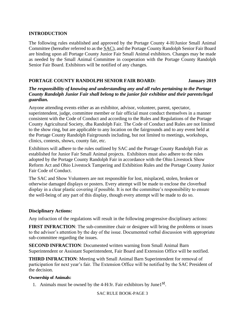#### **INTRODUCTION**

The following rules established and approved by the Portage County 4-H/Junior Small Animal Committee (hereafter referred to as the SAC), and the Portage County Randolph Senior Fair Board are binding upon all Portage County Junior Fair Small Animal exhibitors. Changes may be made as needed by the Small Animal Committee in cooperation with the Portage County Randolph Senior Fair Board. Exhibitors will be notified of any changes.

#### **PORTAGE COUNTY RANDOLPH SENIOR FAIR BOARD: January 2019**

#### *The responsibility of knowing and understanding any and all rules pertaining to the Portage County Randolph Junior Fair shall belong to the junior fair exhibitor and their parents/legal guardian.*

Anyone attending events either as an exhibitor, advisor, volunteer, parent, spectator, superintendent, judge, committee member or fair official must conduct themselves in a manner consistent with the Code of Conduct and according to the Rules and Regulations of the Portage County Agricultural Society, dba Randolph Fair. The Code of Conduct and Rules are not limited to the show ring, but are applicable to any location on the fairgrounds and to any event held at the Portage County Randolph Fairgrounds including, but not limited to meetings, workshops, clinics, contests, shows, county fair, etc.

Exhibitors will adhere to the rules outlined by SAC and the Portage County Randolph Fair as established for Junior Fair Small Animal projects. Exhibitors must also adhere to the rules adopted by the Portage County Randolph Fair in accordance with the Ohio Livestock Show Reform Act and Ohio Livestock Tampering and Exhibition Rules and the Portage County Junior Fair Code of Conduct.

The SAC and Show Volunteers are not responsible for lost, misplaced, stolen, broken or otherwise damaged displays or posters. Every attempt will be made to enclose the cloverbud display in a clear plastic covering if possible. It is not the committee's responsibility to ensure the well-being of any part of this display, though every attempt will be made to do so.

#### **Disciplinary Actions:**

Any infraction of the regulations will result in the following progressive disciplinary actions:

**FIRST INFRACTION:** The sub-committee chair or designee will bring the problems or issues to the advisor's attention by the day of the issue. Documented verbal discussion with appropriate sub-committee regarding the issues.

**SECOND INFRACTION**: Documented written warning from Small Animal Barn Superintendent or Assistant Superintendent, Fair Board and Extension Office will be notified.

**THIRD INFRACTION**: Meeting with Small Animal Barn Superintendent for removal of participation for next year's fair. The Extension Office will be notified by the SAC President of the decision.

#### **Ownership of Animals:**

1. Animals must be owned by the  $4-H/Jr$ . Fair exhibitors by June1<sup>st</sup>.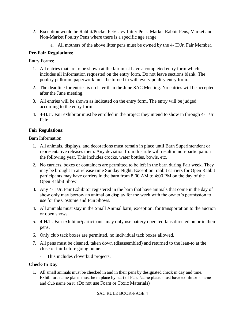- 2. Exception would be Rabbit/Pocket Pet/Cavy Litter Pens, Market Rabbit Pens, Market and Non-Market Poultry Pens where there is a specific age range.
	- a. All mothers of the above litter pens must be owned by the 4- H/Jr. Fair Member.

## **Pre-Fair Regulations:**

Entry Forms:

- 1. All entries that are to be shown at the fair must have a completed entry form which includes all information requested on the entry form. Do not leave sections blank. The poultry pullorum paperwork must be turned in with every poultry entry form.
- 2. The deadline for entries is no later than the June SAC Meeting. No entries will be accepted after the June meeting.
- 3. All entries will be shown as indicated on the entry form. The entry will be judged according to the entry form.
- 4. 4-H/Jr. Fair exhibitor must be enrolled in the project they intend to show in through 4-H/Jr. Fair.

## **Fair Regulations:**

Barn Information:

- 1. All animals, displays, and decorations must remain in place until Barn Superintendent or representative releases them. Any deviation from this rule will result in non-participation the following year. This includes crocks, water bottles, bowls, etc.
- 2. No carriers, boxes or containers are permitted to be left in the barn during Fair week. They may be brought in at release time Sunday Night. Exception: rabbit carriers for Open Rabbit participants may have carriers in the barn from 8:00 AM to 4:00 PM on the day of the Open Rabbit Show.
- 3. Any 4-H/Jr. Fair Exhibitor registered in the barn that have animals that come in the day of show only may borrow an animal on display for the week with the owner's permission to use for the Costume and Fun Shows.
- 4. All animals must stay in the Small Animal barn; exception: for transportation to the auction or open shows.
- 5. 4-H/Jr. Fair exhibitor/participants may only use battery operated fans directed on or in their pens.
- 6. Only club tack boxes are permitted, no individual tack boxes allowed.
- 7. All pens must be cleaned, taken down (disassembled) and returned to the lean-to at the close of fair before going home.
	- This includes cloverbud projects.

## **Check-In Day**

1. All small animals must be checked in and in their pens by designated check in day and time. Exhibitors name plates must be in place by start of Fair. Name plates must have exhibitor's name and club name on it. (Do not use Foam or Toxic Materials)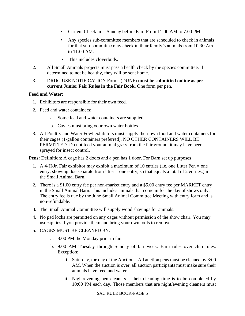- Current Check in is Sunday before Fair, From 11:00 AM to 7:00 PM
- Any species sub-committee members that are scheduled to check in animals for that sub-committee may check in their family's animals from 10:30 Am to 11:00 AM.
- This includes cloverbuds.
- 2. All Small Animals projects must pass a health check by the species committee. If determined to not be healthy, they will be sent home.
- 3. DRUG USE NOTIFICATION Forms (DUNF) **must be submitted online as per current Junior Fair Rules in the Fair Book**. One form per pen.

#### **Feed and Water:**

- 1. Exhibitors are responsible for their own feed.
- 2. Feed and water containers:
	- a. Some feed and water containers are supplied
	- b. Cavies must bring your own water bottles
- 3. All Poultry and Water Fowl exhibitors must supply their own food and water containers for their cages (1-gallon containers preferred). NO OTHER CONTAINERS WILL BE PERMITTED. Do not feed your animal grass from the fair ground, it may have been sprayed for insect control.

**Pens:** Definition: A cage has 2 doors and a pen has 1 door. For Barn set up purposes

- 1. A 4-H/Jr. Fair exhibitor may exhibit a maximum of 10 entries (i.e. one Litter Pen = one entry, showing doe separate from litter  $=$  one entry, so that equals a total of 2 entries.) in the Small Animal Barn.
- 2. There is a \$1.00 entry fee per non-market entry and a \$5.00 entry fee per MARKET entry in the Small Animal Barn. This includes animals that come in for the day of shows only. The entry fee is due by the June Small Animal Committee Meeting with entry form and is non-refundable.
- 3. The Small Animal Committee will supply wood shavings for animals.
- 4. No pad locks are permitted on any cages without permission of the show chair. You may use zip ties if you provide them and bring your own tools to remove.
- 5. CAGES MUST BE CLEANED BY:
	- a. 8:00 PM the Monday prior to fair
	- b. 9:00 AM Tuesday through Sunday of fair week. Barn rules over club rules. Exception:
		- i. Saturday, the day of the Auction All auction pens must be cleaned by 8:00 AM. When the auction is over, all auction participants must make sure their animals have feed and water.
		- ii. Night/evening pen cleaners their cleaning time is to be completed by 10:00 PM each day. Those members that are night/evening cleaners must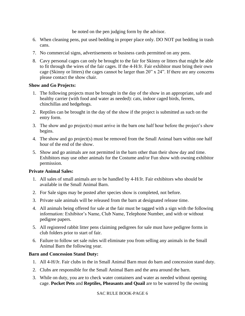be noted on the pen judging form by the advisor.

- 6. When cleaning pens, put used bedding in proper place only. DO NOT put bedding in trash cans.
- 7. No commercial signs, advertisements or business cards permitted on any pens.
- 8. Cavy personal cages can only be brought to the fair for Skinny or litters that might be able to fit through the wires of the fair cages. If the 4-H/Jr. Fair exhibitor must bring their own cage (Skinny or litters) the cages cannot be larger than 20" x 24". If there are any concerns please contact the show chair.

#### **Show and Go Projects:**

- 1. The following projects must be brought in the day of the show in an appropriate, safe and healthy carrier (with food and water as needed): cats, indoor caged birds, ferrets, chinchillas and hedgehogs.
- 2. Reptiles can be brought in the day of the show if the project is submitted as such on the entry form.
- 3. The show and go project(s) must arrive in the barn one half hour before the project's show begins.
- 4. The show and go project(s) must be removed from the Small Animal barn within one half hour of the end of the show.
- 5. Show and go animals are not permitted in the barn other than their show day and time. Exhibitors may use other animals for the Costume and/or Fun show with owning exhibitor permission.

## **Private Animal Sales:**

- 1. All sales of small animals are to be handled by 4-H/Jr. Fair exhibitors who should be available in the Small Animal Barn.
- 2. For Sale signs may be posted after species show is completed, not before.
- 3. Private sale animals will be released from the barn at designated release time.
- 4. All animals being offered for sale at the fair must be tagged with a sign with the following information: Exhibitor's Name, Club Name, Telephone Number, and with or without pedigree papers.
- 5. All registered rabbit litter pens claiming pedigrees for sale must have pedigree forms in club folders prior to start of fair.
- 6. Failure to follow set sale rules will eliminate you from selling any animals in the Small Animal Barn the following year.

## **Barn and Concession Stand Duty:**

- 1. All 4-H/Jr. Fair clubs in the in Small Animal Barn must do barn and concession stand duty.
- 2. Clubs are responsible for the Small Animal Barn and the area around the barn.
- 3. While on duty, you are to check water containers and water as needed without opening cage. **Pocket Pets** and **Reptiles, Pheasants and Quail** are to be watered by the owning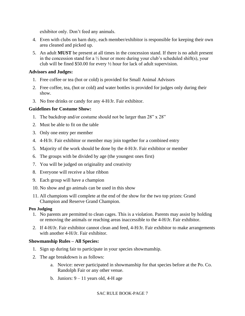exhibitor only. Don't feed any animals.

- 4. Even with clubs on barn duty, each member/exhibitor is responsible for keeping their own area cleaned and picked up.
- 5. An adult **MUST** be present at all times in the concession stand. If there is no adult present in the concession stand for a  $\frac{1}{2}$  hour or more during your club's scheduled shift(s), your club will be fined \$50.00 for every ½ hour for lack of adult supervision.

## **Advisors and Judges:**

- 1. Free coffee or tea (hot or cold) is provided for Small Animal Advisors
- 2. Free coffee, tea, (hot or cold) and water bottles is provided for judges only during their show.
- 3. No free drinks or candy for any 4-H/Jr. Fair exhibitor.

## **Guidelines for Costume Show:**

- 1. The backdrop and/or costume should not be larger than 28" x 28"
- 2. Must be able to fit on the table
- 3. Only one entry per member
- 4. 4-H/Jr. Fair exhibitor or member may join together for a combined entry
- 5. Majority of the work should be done by the 4-H/Jr. Fair exhibitor or member
- 6. The groups with be divided by age (the youngest ones first)
- 7. You will be judged on originality and creativity
- 8. Everyone will receive a blue ribbon
- 9. Each group will have a champion
- 10. No show and go animals can be used in this show
- 11. All champions will complete at the end of the show for the two top prizes: Grand Champion and Reserve Grand Champion.

#### **Pen Judging**

- 1. No parents are permitted to clean cages. This is a violation. Parents may assist by holding or removing the animals or reaching areas inaccessible to the 4-H/Jr. Fair exhibitor.
- 2. If 4-H/Jr. Fair exhibitor cannot clean and feed, 4-H/Jr. Fair exhibitor to make arrangements with another 4-H/Jr. Fair exhibitor.

## **Showmanship Rules – All Species:**

- 1. Sign up during fair to participate in your species showmanship.
- 2. The age breakdown is as follows:
	- a. Novice: never participated in showmanship for that species before at the Po. Co. Randolph Fair or any other venue.
	- b. Juniors:  $9 11$  years old, 4-H age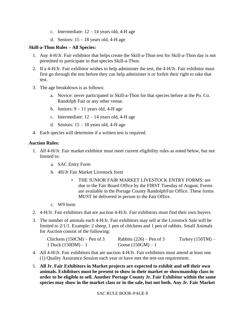- c. Intermediate:  $12 14$  years old, 4-H age
- d. Seniors:  $15 18$  years old, 4-H age

## **Skill-a-Thon Rules – All Species:**

- 1. Any 4-H/Jr. Fair exhibitor that helps create the Skill-a-Thon test for Skill-a-Thon day is not permitted to participate in that species Skill-a-Thon.
- 2. If a 4-H/Jr. Fair exhibitor wishes to help administer the test, the 4-H/Jr. Fair exhibitor must first go through the test before they can help administer it or forfeit their right to take that test.
- 3. The age breakdown is as follows:
	- a. Novice: never participated in Skill-a-Thon for that species before at the Po. Co. Randolph Fair or any other venue.
	- b. Juniors:  $9 11$  years old, 4-H age
	- c. Intermediate:  $12 14$  years old, 4-H age
	- d. Seniors:  $15 18$  years old, 4-H age
- 4. Each species will determine if a written test is required.

## **Auction Rules:**

- 1. All 4-H/Jr. Fair market exhibitor must meet current eligibility rules as noted below, but not limited to:
	- a. SAC Entry Form
	- b. 4H/Jr Fair Market Livestock form
		- THE JUNIOR FAIR MARKET LIVESTOCK ENTRY FORMS: are due to the Fair Board Office by the FIRST Tuesday of August. Forms are available in the Portage County RandolphFair Office. These forms MUST be delivered in person to the Fair Office.
	- c. W9 form
- 2. 4-H/Jr. Fair exhibitors that are auction 4-H/Jr. Fair exhibitors must find their own buyers.
- 3. The number of animals each 4-H/Jr. Fair exhibitors may sell at the Livestock Sale will be limited to 2/1/1. Example: 2 sheep, 1 pen of chickens and 1 pen of rabbits. Small Animals for Auction consist of the following:

| Chickens $(150CM)$ – Pen of 3 | Rabbits $(226)$ – Pen of 3 | Turkey $(150TM)$ – |
|-------------------------------|----------------------------|--------------------|
| 1 Duck $(150DM) - 1$          | Goose $(150GM) - 1$        |                    |

- 4. All 4-H/Jr. Fair exhibitors that are auction 4-H/Jr. Fair exhibitors must attend at least one (1) Quality Assurance Session each year or have met the test-out requirement.
- 5. **All Jr. Fair Exhibitors in Market projects are expected to exhibit and sell their own animals. Exhibitors must be present to show in their market or showmanship class in order to be eligible to sell. Another Portage County Jr. Fair Exhibitor within the same species may show in the market class or in the sale, but not both. Any Jr. Fair Market**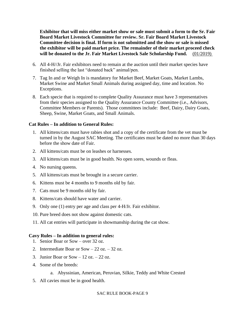**Exhibitor that will miss either market show or sale must submit a form to the Sr. Fair Board Market Livestock Committee for review. Sr. Fair Board Market Livestock Committee decision is final. If form is not submitted and the show or sale is missed the exhibitor will be paid market price. The remainder of their market proceed check will be donated to the Jr. Fair Market Livestock Sale Scholarship Fund.** (01/2019)

- 6. All 4-H//Jr. Fair exhibitors need to remain at the auction until their market species have finished selling the last "donated back" animal/pen.
- 7. Tag In and or Weigh In is mandatory for Market Beef, Market Goats, Market Lambs, Market Swine and Market Small Animals during assigned day, time and location. No Exceptions.
- 8. Each specie that is required to complete Quality Assurance must have 3 representatives from their species assigned to the Quality Assurance County Committee (i.e., Advisors, Committee Members or Parents). Those committees include: Beef, Dairy, Dairy Goats, Sheep, Swine, Market Goats, and Small Animals.

#### **Cat Rules – In addition to General Rules:**

- 1. All kittens/cats must have rabies shot and a copy of the certificate from the vet must be turned in by the August SAC Meeting. The certificates must be dated no more than 30 days before the show date of Fair.
- 2. All kittens/cats must be on leashes or harnesses.
- 3. All kittens/cats must be in good health. No open sores, wounds or fleas.
- 4. No nursing queens.
- 5. All kittens/cats must be brought in a secure carrier.
- 6. Kittens must be 4 months to 9 months old by fair.
- 7. Cats must be 9 months old by fair.
- 8. Kittens/cats should have water and carrier.
- 9. Only one (1) entry per age and class per 4-H/Jr. Fair exhibitor.
- 10. Pure breed does not show against domestic cats.
- 11. All cat entries will participate in showmanship during the cat show.

#### **Cavy Rules – In addition to general rules:**

- 1. Senior Boar or Sow over 32 oz.
- 2. Intermediate Boar or  $Sow 22 oz 32 oz$ .
- 3. Junior Boar or Sow  $-12$  oz.  $-22$  oz.
- 4. Some of the breeds:
	- a. Abyssinian, American, Peruvian, Silkie, Teddy and White Crested
- 5. All cavies must be in good health.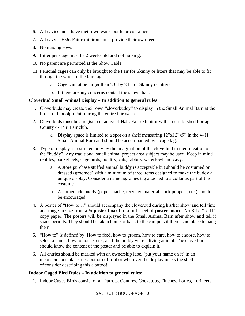- 6. All cavies must have their own water bottle or container
- 7. All cavy 4-H/Jr. Fair exhibitors must provide their own feed.
- 8. No nursing sows
- 9. Litter pens age must be 2 weeks old and not nursing.
- 10. No parent are permitted at the Show Table.
- 11. Personal cages can only be brought to the Fair for Skinny or litters that may be able to fit through the wires of the fair cages.
	- a. Cage cannot be larger than 20" by 24" for Skinny or litters.
	- b. If there are any concerns contact the show chair**.**

#### **Cloverbud Small Animal Display – In addition to general rules:**

- 1. Cloverbuds may create their own "cloverbuddy" to display in the Small Animal Barn at the Po. Co. Randolph Fair during the entire fair week.
- 2. Cloverbuds must be a registered, active 4-H/Jr. Fair exhibitor with an established Portage County 4-H/Jr. Fair club.
	- a. Display space is limited to a spot on a shelf measuring  $12"x12"x9"$  in the 4- H Small Animal Barn and should be accompanied by a cage tag.
- 3. Type of display is restricted only by the imagination of the cloverbud in their creation of the "buddy". Any traditional small animal project area subject may be used. Keep in mind reptiles, pocket pets, cage birds, poultry, cats, rabbits, waterfowl and cavy.
	- a. A store purchase stuffed animal buddy is acceptable but should be costumed or dressed (groomed) with a minimum of three items designed to make the buddy a unique display. Consider a nametag/rabies tag attached to a collar as part of the costume.
	- b. A homemade buddy (paper mache, recycled material, sock puppets, etc.) should be encouraged.
- 4. A poster of "How to…" should accompany the cloverbud during his/her show and tell time and range in size from a ¼ **poster board** to a full sheet of **poster board**. No 8-1/2" x 11" copy paper. The posters will be displayed in the Small Animal Barn after show and tell if space permits. They should be taken home or back to the campers if there is no place to hang them.
- 5. "How to" is defined by: How to feed, how to groom, how to care, how to choose, how to select a name, how to house, etc., as if the buddy were a living animal. The cloverbud should know the content of the poster and be able to explain it.
- 6. All entries should be marked with an ownership label (put your name on it) in an inconspicuous place, i.e.: bottom of foot or wherever the display meets the shelf. \*\*consider describing this a tattoo!

#### **Indoor Caged Bird Rules – In addition to general rules:**

1. Indoor Cages Birds consist of all Parrots, Conures, Cockatoos, Finches, Lories, Lorikeets,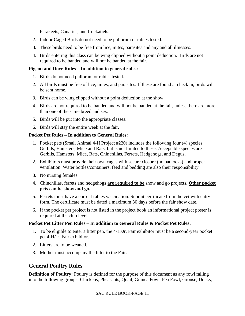Parakeets, Canaries, and Cockatiels.

- 2. Indoor Caged Birds do not need to be pullorum or rabies tested.
- 3. These birds need to be free from lice, mites, parasites and any and all illnesses.
- 4. Birds entering this class can be wing clipped without a point deduction. Birds are not required to be banded and will not be banded at the fair.

## **Pigeon and Dove Rules – In addition to general rules:**

- 1. Birds do not need pullorum or rabies tested.
- 2. All birds must be free of lice, mites, and parasites. If these are found at check in, birds will be sent home.
- 3. Birds can be wing clipped without a point deduction at the show
- 4. Birds are not required to be banded and will not be banded at the fair, unless there are more than one of the same breed and sex.
- 5. Birds will be put into the appropriate classes.
- 6. Birds will stay the entire week at the fair.

## **Pocket Pet Rules – In addition to General Rules:**

- 1. Pocket pets (Small Animal 4-H Project #220) includes the following four (4) species: Gerbils, Hamsters, Mice and Rats, but is not limited to these. Acceptable species are Gerbils, Hamsters, Mice, Rats, Chinchillas, Ferrets, Hedgehogs, and Degus.
- 2. Exhibitors must provide their own cages with secure closure (no padlocks) and proper ventilation. Water bottles/containers, feed and bedding are also their responsibility.
- 3. No nursing females.
- 4. Chinchillas, ferrets and hedgehogs **are required to be** show and go projects. **Other pocket pets can be show and go.**
- 5. Ferrets must have a current rabies vaccination. Submit certificate from the vet with entry form. The certificate must be dated a maximum 30 days before the fair show date.
- 6. If the pocket pet project is not listed in the project book an informational project poster is required at the club level.

## **Pocket Pet Litter Pen Rules – In addition to General Rules & Pocket Pet Rules:**

- 1. To be eligible to enter a litter pen, the 4-H/Jr. Fair exhibitor must be a second-year pocket pet 4-H/Jr. Fair exhibitor.
- 2. Litters are to be weaned.
- 3. Mother must accompany the litter to the Fair.

# **General Poultry Rules**

**Definition of Poultry:** Poultry is defined for the purpose of this document as any fowl falling into the following groups: Chickens, Pheasants, Quail, Guinea Fowl, Pea Fowl, Grouse, Ducks,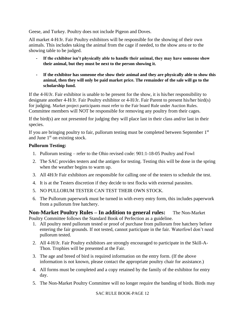Geese, and Turkey. Poultry does not include Pigeon and Doves.

All market 4-H/Jr. Fair Poultry exhibitors will be responsible for the showing of their own animals. This includes taking the animal from the cage if needed, to the show area or to the showing table to be judged.

- **- If the exhibitor isn't physically able to handle their animal, they may have someone show their animal, but they must be next to the person showing it.**
- **- If the exhibitor has someone else show their animal and they are physically able to show this animal, then they will only be paid market price. The remainder of the sale will go to the scholarship fund.**

If the 4-H/Jr. Fair exhibitor is unable to be present for the show, it is his/her responsibility to designate another 4-H/Jr. Fair Poultry exhibitor or 4-H/Jr. Fair Parent to present his/her bird(s) for judging. Market project participants must refer to the Fair board Rule under Auction Rules. Committee members will NOT be responsible for removing any poultry from their cages.

If the bird(s) are not presented for judging they will place last in their class and/or last in their species.

If you are bringing poultry to fair, pullorum testing must be completed between September  $1<sup>st</sup>$ and June  $1<sup>st</sup>$  on existing stock.

#### **Pullorum Testing:**

- 1. Pullorum testing refer to the Ohio revised code: 901:1-18-05 Poultry and Fowl
- 2. The SAC provides testers and the antigen for testing. Testing this will be done in the spring when the weather begins to warm up.
- 3. All 4H/Jr Fair exhibitors are responsible for calling one of the testers to schedule the test.
- 4. It is at the Testers discretion if they decide to test flocks with external parasites.
- 5. NO PULLORUM TESTER CAN TEST THEIR OWN STOCK.
- 6. The Pullorum paperwork must be turned in with every entry form, this includes paperwork from a pullorum free hatchery.

**Non-Market Poultry Rules – In addition to general rules:** The Non-Market Poultry Committee follows the Standard Book of Perfection as a guideline.

- 1. All poultry need pullorum tested or proof of purchase from pullorum free hatchery before entering the fair grounds. If not tested, cannot participate in the fair. Waterfowl don't need pullorum tested.
- 2. All 4-H/Jr. Fair Poultry exhibitors are strongly encouraged to participate in the Skill-A-Thon. Trophies will be presented at the Fair.
- 3. The age and breed of bird is required information on the entry form. (If the above information is not known, please contact the appropriate poultry chair for assistance.)
- 4. All forms must be completed and a copy retained by the family of the exhibitor for entry day.
- 5. The Non-Market Poultry Committee will no longer require the banding of birds. Birds may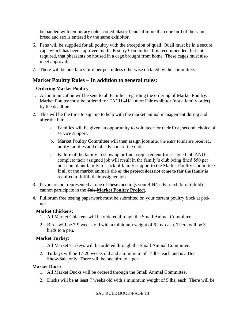be banded with temporary color-coded plastic bands if more than one bird of the same breed and sex is entered by the same exhibitor.

- 6. Pens will be supplied for all poultry with the exception of quail. Quail must be in a secure cage which has been approved by the Poultry Committee. It is recommended, but not required, that pheasants be housed in a cage brought from home. These cages must also meet approval.
- 7. There will be one fancy bird per pen unless otherwise dictated by the committee.

# **Market Poultry Rules – In addition to general rules:**

#### **Ordering Market Poultry**

- 1. A communication will be sent to all Families regarding the ordering of Market Poultry. Market Poultry must be ordered for EACH 4H/ Junior Fair exhibitor (not a family order) by the deadline.
- 2. This will be the time to sign up to help with the market animal management during and after the fair.
	- a. Families will be given an opportunity to volunteer for their first, second, choice of service support.
	- b. Market Poultry Committee will then assign jobs after the entry forms are received**,** notify families and club advisors of the duties.
	- c. Failure of the family to show up or find a replacement for assigned job AND complete their assigned job will result in the family's club being fined \$50 per non-compliant family for lack of family support to the Market Poultry Committee. If all of the market animals die **or the project does not come to fair the family is**  required to fulfill their assigned jobs.
- 3. If you are not represented at one of these meetings your 4-H/Jr. Fair exhibitor (child) cannot participate in the Sale **Market Poultry Project**.
- 4. Pullorum free testing paperwork must be submitted on your current poultry flock at pick up.

#### **Market Chickens:**

- 1. All Market Chickens will be ordered through the Small Animal Committee.
- 2. Birds will be 7-9 weeks old with a minimum weight of 6 lbs. each. There will be 3 birds to a pen.

#### **Market Turkey:**

- 1. All Market Turkeys will be ordered through the Small Animal Committee.
- 2. Turkeys will be 17-20 weeks old and a minimum of 14 lbs. each and is a Hen Show/Sale only. There will be one bird to a pen.

#### **Market Duck:**

- 1. All Market Ducks will be ordered through the Small Animal Committee.
- 2. Ducks will be at least 7 weeks old with a minimum weight of 5 lbs. each. There will be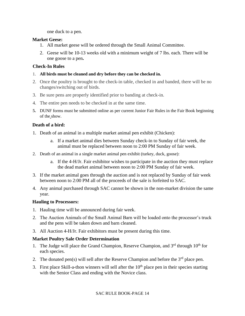one duck to a pen.

#### **Market Geese:**

- 1. All market geese will be ordered through the Small Animal Committee.
- 2. Geese will be 10-13 weeks old with a minimum weight of 7 lbs. each. There will be one goose to a pen**.**

#### **Check-In Rules**

- 1. **All birds must be cleaned and dry before they can be checked in.**
- 2. Once the poultry is brought to the check-in table, checked in and banded, there will be no changes/switching out of birds.
- 3. Be sure pens are properly identified prior to banding at check-in.
- 4. The entire pen needs to be checked in at the same time.
- **5.** DUNF forms must be submitted online as per current Junior Fair Rules in the Fair Book beginning of the show.

#### **Death of a bird:**

- 1. Death of an animal in a multiple market animal pen exhibit (Chicken):
	- a. If a market animal dies between Sunday check-in to Sunday of fair week, the animal must be replaced between noon to 2:00 PM Sunday of fair week.
- 2. Death of an animal in a single market animal pen exhibit (turkey, duck, goose):
	- a. If the 4-H/Jr. Fair exhibitor wishes to participate in the auction they must replace the dead market animal between noon to 2:00 PM Sunday of fair week.
- 3. If the market animal goes through the auction and is not replaced by Sunday of fair week between noon to 2:00 PM all of the proceeds of the sale is forfeited to SAC.
- 4. Any animal purchased through SAC cannot be shown in the non-market division the same year.

#### **Hauling to Processors:**

- 1. Hauling time will be announced during fair week.
- 2. The Auction Animals of the Small Animal Barn will be loaded onto the processor's truck and the pens will be taken down and barn cleaned.
- 3. All Auction 4-H/Jr. Fair exhibitors must be present during this time.

#### **Market Poultry Sale Order Determination**

- 1. The Judge will place the Grand Champion, Reserve Champion, and  $3<sup>rd</sup>$  through  $10<sup>th</sup>$  for each species.
- 2. The donated pen(s) will sell after the Reserve Champion and before the  $3<sup>rd</sup>$  place pen.
- 3. First place Skill-a-thon winners will sell after the  $10<sup>th</sup>$  place pen in their species starting with the Senior Class and ending with the Novice class.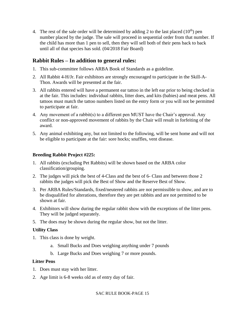4. The rest of the sale order will be determined by adding 2 to the last placed  $(10<sup>th</sup>)$  pen number placed by the judge. The sale will proceed in sequential order from that number. If the child has more than 1 pen to sell, then they will sell both of their pens back to back until all of that species has sold. (04/2018 Fair Board)

# **Rabbit Rules – In addition to general rules:**

- 1. This sub-committee follows ARBA Book of Standards as a guideline.
- 2. All Rabbit 4-H/Jr. Fair exhibitors are strongly encouraged to participate in the Skill-A-Thon. Awards will be presented at the fair.
- 3. All rabbits entered will have a permanent ear tattoo in the left ear prior to being checked in at the fair. This includes: individual rabbits, litter does, and kits (babies) and meat pens. All tattoos must match the tattoo numbers listed on the entry form or you will not be permitted to participate at fair.
- 4. Any movement of a rabbit(s) to a different pen MUST have the Chair's approval. Any conflict or non-approved movement of rabbits by the Chair will result in forfeiting of the award.
- 5. Any animal exhibiting any, but not limited to the following, will be sent home and will not be eligible to participate at the fair: sore hocks; snuffles, vent disease.

#### **Breeding Rabbit Project #225:**

- 1. All rabbits (excluding Pet Rabbits) will be shown based on the ARBA color classification/grouping.
- 2. The judges will pick the best of 4-Class and the best of 6- Class and between those 2 rabbits the judges will pick the Best of Show and the Reserve Best of Show.
- 3. Per ARBA Rules/Standards, fixed/neutered rabbits are not permissible to show, and are to be disqualified for alterations, therefore they are pet rabbits and are not permitted to be shown at fair.
- 4. Exhibitors will show during the regular rabbit show with the exceptions of the litter pens. They will be judged separately.
- 5. The does may be shown during the regular show, but not the litter.

#### **Utility Class**

- 1. This class is done by weight.
	- a. Small Bucks and Does weighing anything under 7 pounds
	- b. Large Bucks and Does weighing 7 or more pounds.

#### **Litter Pens**

- 1. Does must stay with her litter.
- 2. Age limit is 6-8 weeks old as of entry day of fair.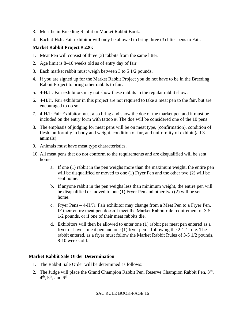- 3. Must be in Breeding Rabbit or Market Rabbit Book.
- 4. Each 4-H/Jr. Fair exhibitor will only be allowed to bring three (3) litter pens to Fair.

## **Market Rabbit Project # 226:**

- 1. Meat Pen will consist of three (3) rabbits from the same litter.
- 2. Age limit is 8–10 weeks old as of entry day of fair
- 3. Each market rabbit must weigh between 3 to 5 1/2 pounds.
- 4. If you are signed up for the Market Rabbit Project you do not have to be in the Breeding Rabbit Project to bring other rabbits to fair.
- 5. 4-H/Jr. Fair exhibitors may not show these rabbits in the regular rabbit show.
- 6. 4-H/Jr. Fair exhibitor in this project are not required to take a meat pen to the fair, but are encouraged to do so.
- 7. 4-H/Jr Fair Exhibitor must also bring and show the doe of the market pen and it must be included on the entry form with tattoo #. The doe will be considered one of the 10 pens.
- 8. The emphasis of judging for meat pens will be on meat type, (confirmation), condition of flesh, uniformity in body and weight, condition of fur, and uniformity of exhibit (all 3 animals).
- 9. Animals must have meat type characteristics.
- 10. All meat pens that do not conform to the requirements and are disqualified will be sent home.
	- a. If one (1) rabbit in the pen weighs more than the maximum weight, the entire pen will be disqualified or moved to one (1) Fryer Pen and the other two (2) will be sent home.
	- b. If anyone rabbit in the pen weighs less than minimum weight, the entire pen will be disqualified or moved to one (1) Fryer Pen and other two (2) will be sent home.
	- c. Fryer Pens 4-H/Jr. Fair exhibitor may change from a Meat Pen to a Fryer Pen, IF their entire meat pen doesn't meet the Market Rabbit rule requirement of 3-5 1/2 pounds, or if one of their meat rabbits die.
	- d. Exhibitors will then be allowed to enter one (1) rabbit per meat pen entered as a fryer or have a meat pen and one (1) fryer pen – following the 2-1-1 rule. The rabbit entered, as a fryer must follow the Market Rabbit Rules of 3-5 1/2 pounds, 8-10 weeks old.

#### **Market Rabbit Sale Order Determination**

- 1. The Rabbit Sale Order will be determined as follows:
- 2. The Judge will place the Grand Champion Rabbit Pen, Reserve Champion Rabbit Pen, 3rd,  $4^{\text{th}}$ ,  $5^{\text{th}}$ , and  $6^{\text{th}}$ .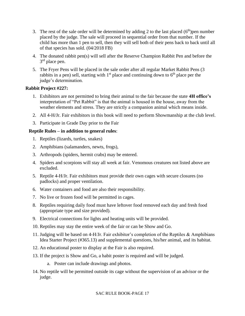- 3. The rest of the sale order will be determined by adding 2 to the last placed  $(6<sup>th</sup>)$  pen number placed by the judge. The sale will proceed in sequential order from that number. If the child has more than 1 pen to sell, then they will sell both of their pens back to back until all of that species has sold. (04/2018 FB)
- 4. The donated rabbit pen(s) will sell after the Reserve Champion Rabbit Pen and before the 3<sup>rd</sup> place pen.
- 5. The Fryer Pens will be placed in the sale order after all regular Market Rabbit Pens (3 rabbits in a pen) sell, starting with  $1<sup>st</sup>$  place and continuing down to  $6<sup>th</sup>$  place per the judge's determination.

#### **Rabbit Project #227:**

- 1. Exhibitors are not permitted to bring their animal to the fair because the state **4H office's** interpretation of "Pet Rabbit" is that the animal is housed in the house, away from the weather elements and stress. They are strictly a companion animal which means inside.
- 2. All 4-H/Jr. Fair exhibitors in this book will need to perform Showmanship at the club level.
- 3. Participate in Grade Day prior to the Fair

## **Reptile Rules – in addition to general rules**:

- 1. Reptiles (lizards, turtles, snakes)
- 2. Amphibians (salamanders, newts, frogs),
- 3. Arthropods (spiders, hermit crabs) may be entered.
- 4. Spiders and scorpions will stay all week at fair. Venomous creatures not listed above are excluded.
- 5. Reptile 4-H/Jr. Fair exhibitors must provide their own cages with secure closures (no padlocks) and proper ventilation.
- 6. Water containers and food are also their responsibility.
- 7. No live or frozen food will be permitted in cages.
- 8. Reptiles requiring daily food must have leftover food removed each day and fresh food (appropriate type and size provided).
- 9. Electrical connections for lights and heating units will be provided.
- 10. Reptiles may stay the entire week of the fair or can be Show and Go.
- 11. Judging will be based on 4-H/Jr. Fair exhibitor's completion of the Reptiles & Amphibians Idea Starter Project (#365.13) and supplemental questions, his/her animal, and its habitat.
- 12. An educational poster to display at the Fair is also required.
- 13. If the project is Show and Go, a habit poster is required and will be judged.
	- a. Poster can include drawings and photos.
- 14. No reptile will be permitted outside its cage without the supervision of an advisor or the judge.